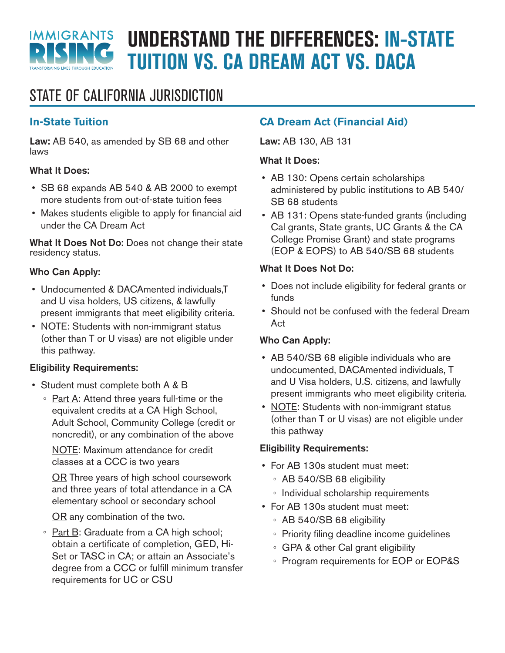

# **UNDERSTAND THE DIFFERENCES: IN-STATE TUITION VS. CA DREAM ACT VS. DACA**

# STATE OF CALIFORNIA JURISDICTION

# **In-State Tuition**

Law: AB 540, as amended by SB 68 and other laws

# What It Does:

- SB 68 expands AB 540 & AB 2000 to exempt more students from out-of-state tuition fees
- Makes students eligible to apply for financial aid under the CA Dream Act

What It Does Not Do: Does not change their state residency status.

# Who Can Apply:

- Undocumented & DACAmented individuals,T and U visa holders, US citizens, & lawfully present immigrants that meet eligibility criteria.
- NOTE: Students with non-immigrant status (other than T or U visas) are not eligible under this pathway.

# Eligibility Requirements:

- Student must complete both A & B
	- Part A: Attend three years full-time or the equivalent credits at a CA High School, Adult School, Community College (credit or noncredit), or any combination of the above

NOTE: Maximum attendance for credit classes at a CCC is two years

OR Three years of high school coursework and three years of total attendance in a CA elementary school or secondary school

OR any combination of the two.

◦ Part B: Graduate from a CA high school; obtain a certificate of completion, GED, Hi-Set or TASC in CA; or attain an Associate's degree from a CCC or fulfill minimum transfer requirements for UC or CSU

# **CA Dream Act (Financial Aid)**

Law: AB 130, AB 131

#### What It Does:

- AB 130: Opens certain scholarships administered by public institutions to AB 540/ SB 68 students
- AB 131: Opens state-funded grants (including Cal grants, State grants, UC Grants & the CA College Promise Grant) and state programs (EOP & EOPS) to AB 540/SB 68 students

# What It Does Not Do:

- Does not include eligibility for federal grants or funds
- Should not be confused with the federal Dream Act

# Who Can Apply:

- AB 540/SB 68 eligible individuals who are undocumented, DACAmented individuals, T and U Visa holders, U.S. citizens, and lawfully present immigrants who meet eligibility criteria.
- NOTE: Students with non-immigrant status (other than T or U visas) are not eligible under this pathway

# Eligibility Requirements:

- For AB 130s student must meet:
	- AB 540/SB 68 eligibility
	- Individual scholarship requirements
- For AB 130s student must meet:
	- AB 540/SB 68 eligibility
	- Priority filing deadline income guidelines
	- GPA & other Cal grant eligibility
	- Program requirements for EOP or EOP&S